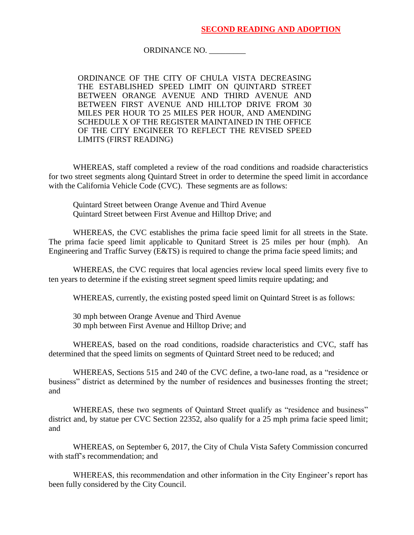## ORDINANCE NO. \_\_\_\_\_\_\_\_\_

ORDINANCE OF THE CITY OF CHULA VISTA DECREASING THE ESTABLISHED SPEED LIMIT ON QUINTARD STREET BETWEEN ORANGE AVENUE AND THIRD AVENUE AND BETWEEN FIRST AVENUE AND HILLTOP DRIVE FROM 30 MILES PER HOUR TO 25 MILES PER HOUR, AND AMENDING SCHEDULE X OF THE REGISTER MAINTAINED IN THE OFFICE OF THE CITY ENGINEER TO REFLECT THE REVISED SPEED LIMITS (FIRST READING)

WHEREAS, staff completed a review of the road conditions and roadside characteristics for two street segments along Quintard Street in order to determine the speed limit in accordance with the California Vehicle Code (CVC). These segments are as follows:

Quintard Street between Orange Avenue and Third Avenue Quintard Street between First Avenue and Hilltop Drive; and

WHEREAS, the CVC establishes the prima facie speed limit for all streets in the State. The prima facie speed limit applicable to Qunitard Street is 25 miles per hour (mph). An Engineering and Traffic Survey (E&TS) is required to change the prima facie speed limits; and

WHEREAS, the CVC requires that local agencies review local speed limits every five to ten years to determine if the existing street segment speed limits require updating; and

WHEREAS, currently, the existing posted speed limit on Quintard Street is as follows:

30 mph between Orange Avenue and Third Avenue 30 mph between First Avenue and Hilltop Drive; and

WHEREAS, based on the road conditions, roadside characteristics and CVC, staff has determined that the speed limits on segments of Quintard Street need to be reduced; and

WHEREAS, Sections 515 and 240 of the CVC define, a two-lane road, as a "residence or business" district as determined by the number of residences and businesses fronting the street; and

WHEREAS, these two segments of Quintard Street qualify as "residence and business" district and, by statue per CVC Section 22352, also qualify for a 25 mph prima facie speed limit; and

WHEREAS, on September 6, 2017, the City of Chula Vista Safety Commission concurred with staff's recommendation; and

WHEREAS, this recommendation and other information in the City Engineer's report has been fully considered by the City Council.